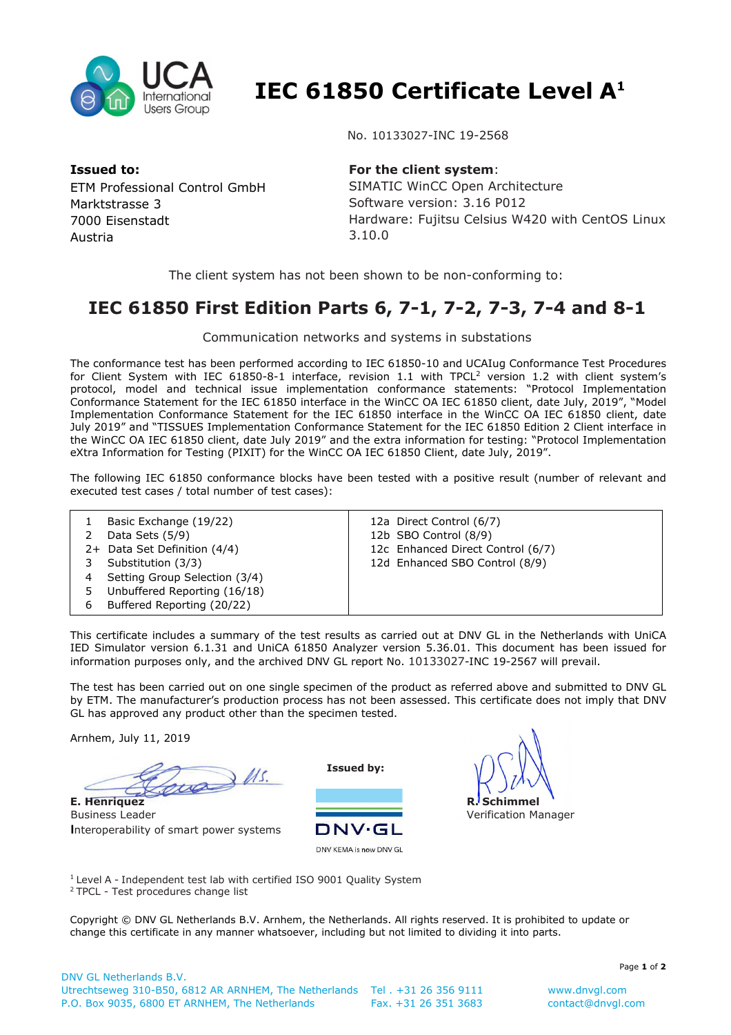

 **IEC 61850 Certificate Level A<sup>1</sup>**

No. 10133027-INC 19-2568

**Issued to:**  ETM Professional Control GmbH Marktstrasse 3 7000 Eisenstadt Austria

## **For the client system**:

SIMATIC WinCC Open Architecture Software version: 3.16 P012 Hardware: Fujitsu Celsius W420 with CentOS Linux 3.10.0

The client system has not been shown to be non-conforming to:

## **IEC 61850 First Edition Parts 6, 7-1, 7-2, 7-3, 7-4 and 8-1**

Communication networks and systems in substations

The conformance test has been performed according to IEC 61850-10 and UCAIug Conformance Test Procedures for Client System with IEC 61850-8-1 interface, revision 1.1 with TPCL<sup>2</sup> version 1.2 with client system's protocol, model and technical issue implementation conformance statements: "Protocol Implementation Conformance Statement for the IEC 61850 interface in the WinCC OA IEC 61850 client, date July, 2019", "Model Implementation Conformance Statement for the IEC 61850 interface in the WinCC OA IEC 61850 client, date July 2019" and "TISSUES Implementation Conformance Statement for the IEC 61850 Edition 2 Client interface in the WinCC OA IEC 61850 client, date July 2019" and the extra information for testing: "Protocol Implementation eXtra Information for Testing (PIXIT) for the WinCC OA IEC 61850 Client, date July, 2019".

The following IEC 61850 conformance blocks have been tested with a positive result (number of relevant and executed test cases / total number of test cases):

|   | Basic Exchange (19/22)        | 12a Direct Control (6/7)          |
|---|-------------------------------|-----------------------------------|
|   | Data Sets (5/9)               | 12b SBO Control (8/9)             |
|   | 2+ Data Set Definition (4/4)  | 12c Enhanced Direct Control (6/7) |
|   | Substitution (3/3)            | 12d Enhanced SBO Control (8/9)    |
|   | Setting Group Selection (3/4) |                                   |
|   | Unbuffered Reporting (16/18)  |                                   |
| 6 | Buffered Reporting (20/22)    |                                   |

This certificate includes a summary of the test results as carried out at DNV GL in the Netherlands with UniCA IED Simulator version 6.1.31 and UniCA 61850 Analyzer version 5.36.01. This document has been issued for information purposes only, and the archived DNV GL report No. 10133027-INC 19-2567 will prevail.

The test has been carried out on one single specimen of the product as referred above and submitted to DNV GL by ETM. The manufacturer's production process has not been assessed. This certificate does not imply that DNV GL has approved any product other than the specimen tested.

Arnhem, July 11, 2019

 $\frac{1}{100}$ **E. Henriquez**

Business Leader **I**nteroperability of smart power systems

**Issued by:** 







Verification Manager

<sup>1</sup> Level A - Independent test lab with certified ISO 9001 Quality System <sup>2</sup> TPCL - Test procedures change list

Copyright © DNV GL Netherlands B.V. Arnhem, the Netherlands. All rights reserved. It is prohibited to update or change this certificate in any manner whatsoever, including but not limited to dividing it into parts.